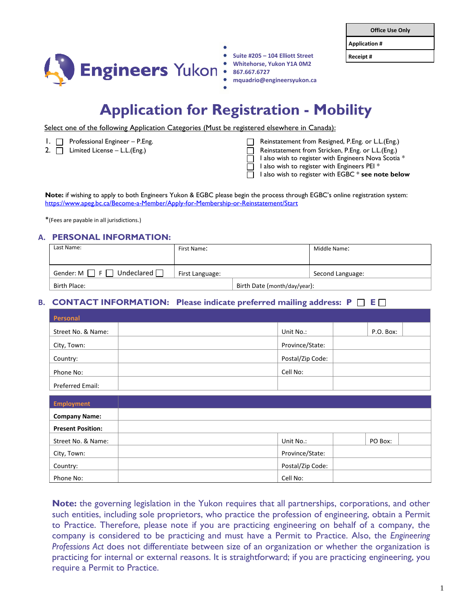**Application #**



- **Suite #205 – 104 Elliott Street Receipt # Whitehorse, Yukon Y1A 0M2 867.667.6727**
- **mquadrio@engineersyukon.ca**

# **Application for Registration - Mobility**

Select one of the following Application Categories (Must be registered elsewhere in Canada):

- 
- 
- 1. Professional Engineer P.Eng. Reinstatement from Resigned, P.Eng. or L.L.(Eng.)
- 2.  $\Box$  Limited License L.L.(Eng.) 2.  $\Box$  Reinstatement from Stricken, P.Eng. or L.L.(Eng.)
	- I also wish to register with Engineers Nova Scotia \*
	- I also wish to register with Engineers PEI \*

I also wish to register with EGBC \* **see note below**

**Note:** if wishing to apply to both Engineers Yukon & EGBC please begin the process through EGBC's online registration system: <https://www.apeg.bc.ca/Become-a-Member/Apply-for-Membership-or-Reinstatement/Start>

\*(Fees are payable in all jurisdictions.)

#### **A. PERSONAL INFORMATION:**

| Last Name:                                       | First Name:     |                              | Middle Name:     |
|--------------------------------------------------|-----------------|------------------------------|------------------|
| Undeclared $\Box$<br>Gender: M<br>F <sub>1</sub> | First Language: |                              | Second Language: |
| Birth Place:                                     |                 | Birth Date (month/day/year): |                  |

## **B. CONTACT INFORMATION:** Please indicate preferred mailing address:  $P \cap E \cap$

| Personal           |                  |           |
|--------------------|------------------|-----------|
| Street No. & Name: | Unit No.:        | P.O. Box: |
| City, Town:        | Province/State:  |           |
| Country:           | Postal/Zip Code: |           |
| Phone No:          | Cell No:         |           |
| Preferred Email:   |                  |           |

| <b>Employment</b>        |                  |         |
|--------------------------|------------------|---------|
| <b>Company Name:</b>     |                  |         |
| <b>Present Position:</b> |                  |         |
| Street No. & Name:       | Unit No.:        | PO Box: |
| City, Town:              | Province/State:  |         |
| Country:                 | Postal/Zip Code: |         |
| Phone No:                | Cell No:         |         |

**Note:** the governing legislation in the Yukon requires that all partnerships, corporations, and other such entities, including sole proprietors, who practice the profession of engineering, obtain a Permit to Practice. Therefore, please note if you are practicing engineering on behalf of a company, the company is considered to be practicing and must have a Permit to Practice. Also, the *Engineering Professions Act* does not differentiate between size of an organization or whether the organization is practicing for internal or external reasons. It is straightforward; if you are practicing engineering, you require a Permit to Practice.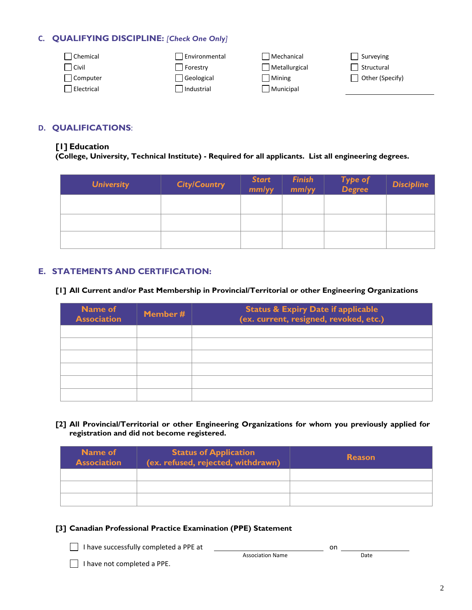## **C. QUALIFYING DISCIPLINE:** *[Check One Only]*

| Chemical   | Environmental | Mechanical    | Surveying       |
|------------|---------------|---------------|-----------------|
| Civil      | Forestry      | Metallurgical | Structural      |
| Computer   | Geological    | Mining        | Other (Specify) |
| Electrical | Industrial    | Municipal     |                 |
|            |               |               |                 |

## **D. QUALIFICATIONS**:

#### **[1] Education**

**(College, University, Technical Institute) - Required for all applicants. List all engineering degrees.**

| <b>University</b> | <b>City/Country</b> | <b>Start</b><br>mm/yy | <b>Finish</b><br>mm/yy | Type of<br>Degree | <b>Discipline</b> |
|-------------------|---------------------|-----------------------|------------------------|-------------------|-------------------|
|                   |                     |                       |                        |                   |                   |
|                   |                     |                       |                        |                   |                   |
|                   |                     |                       |                        |                   |                   |

## **E. STATEMENTS AND CERTIFICATION:**

**[1] All Current and/or Past Membership in Provincial/Territorial or other Engineering Organizations** 

| <b>Name of</b><br><b>Association</b> | Member # | <b>Status &amp; Expiry Date if applicable</b><br>(ex. current, resigned, revoked, etc.) |
|--------------------------------------|----------|-----------------------------------------------------------------------------------------|
|                                      |          |                                                                                         |
|                                      |          |                                                                                         |
|                                      |          |                                                                                         |
|                                      |          |                                                                                         |
|                                      |          |                                                                                         |
|                                      |          |                                                                                         |

**[2] All Provincial/Territorial or other Engineering Organizations for whom you previously applied for registration and did not become registered.** 

| <b>Name of</b><br><b>Association</b> | <b>Status of Application</b><br>(ex. refused, rejected, withdrawn) | <b>Reason</b> |
|--------------------------------------|--------------------------------------------------------------------|---------------|
|                                      |                                                                    |               |
|                                      |                                                                    |               |
|                                      |                                                                    |               |

## **[3] Canadian Professional Practice Examination (PPE) Statement**

I have successfully completed a PPE at on

|                         | ິ |      |
|-------------------------|---|------|
| <b>Association Name</b> |   | Date |

I have not completed a PPE.